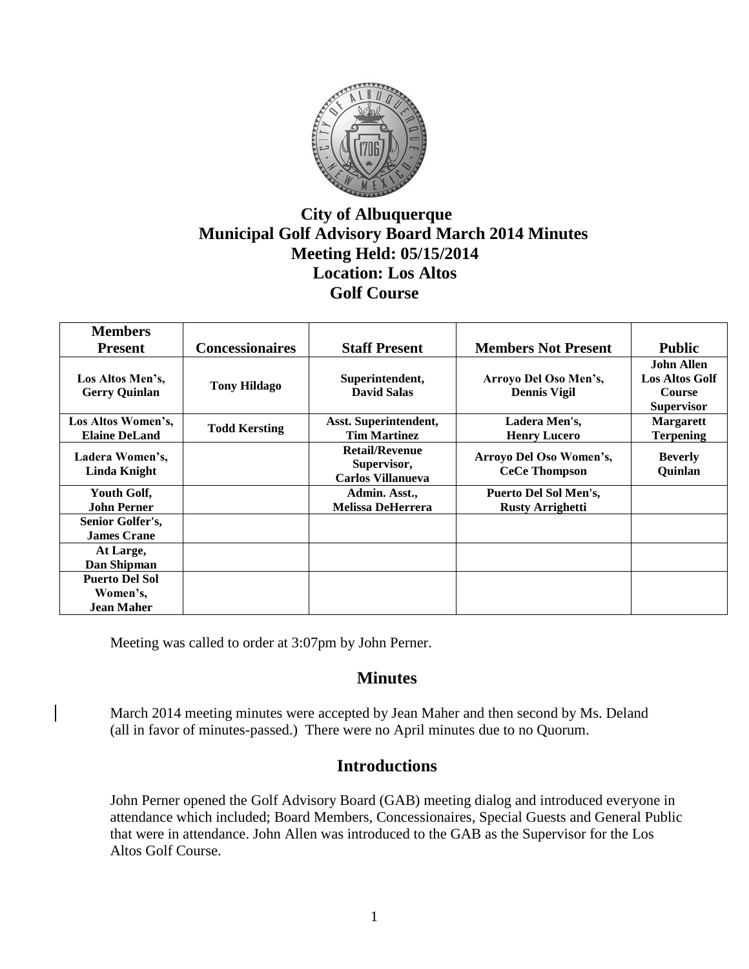

# **City of Albuquerque Municipal Golf Advisory Board March 2014 Minutes Meeting Held: 05/15/2014 Location: Los Altos Golf Course**

| <b>Members</b>                                  |                        |                                                                  |                                                  |                                                                                  |
|-------------------------------------------------|------------------------|------------------------------------------------------------------|--------------------------------------------------|----------------------------------------------------------------------------------|
| <b>Present</b>                                  | <b>Concessionaires</b> | <b>Staff Present</b>                                             | <b>Members Not Present</b>                       | <b>Public</b>                                                                    |
| Los Altos Men's,<br><b>Gerry Quinlan</b>        | <b>Tony Hildago</b>    | Superintendent,<br><b>David Salas</b>                            | Arroyo Del Oso Men's,<br><b>Dennis Vigil</b>     | <b>John Allen</b><br><b>Los Altos Golf</b><br><b>Course</b><br><b>Supervisor</b> |
| Los Altos Women's,<br><b>Elaine DeLand</b>      | <b>Todd Kersting</b>   | Asst. Superintendent,<br><b>Tim Martinez</b>                     | Ladera Men's,<br><b>Henry Lucero</b>             | <b>Margarett</b><br><b>Terpening</b>                                             |
| Ladera Women's,<br><b>Linda Knight</b>          |                        | <b>Retail/Revenue</b><br>Supervisor,<br><b>Carlos Villanueva</b> | Arroyo Del Oso Women's,<br><b>CeCe Thompson</b>  | <b>Beverly</b><br>Quinlan                                                        |
| Youth Golf,<br><b>John Perner</b>               |                        | Admin. Asst.,<br><b>Melissa DeHerrera</b>                        | Puerto Del Sol Men's,<br><b>Rusty Arrighetti</b> |                                                                                  |
| Senior Golfer's,<br><b>James Crane</b>          |                        |                                                                  |                                                  |                                                                                  |
| At Large,<br>Dan Shipman                        |                        |                                                                  |                                                  |                                                                                  |
| <b>Puerto Del Sol</b><br>Women's,<br>Jean Maher |                        |                                                                  |                                                  |                                                                                  |

Meeting was called to order at 3:07pm by John Perner.

## **Minutes**

March 2014 meeting minutes were accepted by Jean Maher and then second by Ms. Deland (all in favor of minutes-passed.) There were no April minutes due to no Quorum.

## **Introductions**

John Perner opened the Golf Advisory Board (GAB) meeting dialog and introduced everyone in attendance which included; Board Members, Concessionaires, Special Guests and General Public that were in attendance. John Allen was introduced to the GAB as the Supervisor for the Los Altos Golf Course.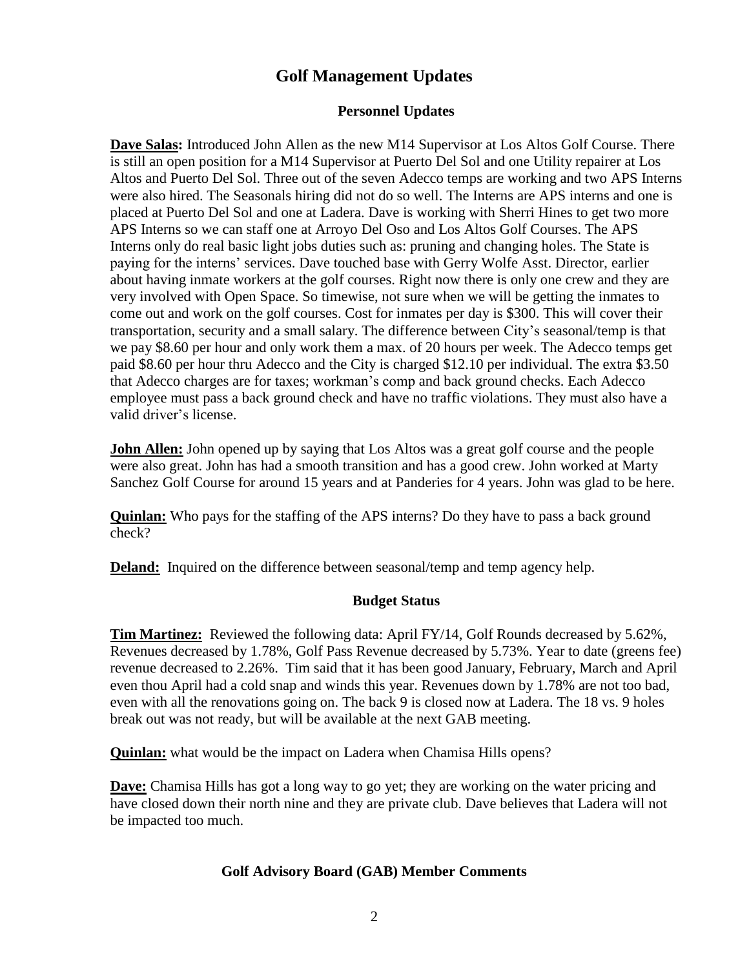# **Golf Management Updates**

#### **Personnel Updates**

**Dave Salas:** Introduced John Allen as the new M14 Supervisor at Los Altos Golf Course. There is still an open position for a M14 Supervisor at Puerto Del Sol and one Utility repairer at Los Altos and Puerto Del Sol. Three out of the seven Adecco temps are working and two APS Interns were also hired. The Seasonals hiring did not do so well. The Interns are APS interns and one is placed at Puerto Del Sol and one at Ladera. Dave is working with Sherri Hines to get two more APS Interns so we can staff one at Arroyo Del Oso and Los Altos Golf Courses. The APS Interns only do real basic light jobs duties such as: pruning and changing holes. The State is paying for the interns' services. Dave touched base with Gerry Wolfe Asst. Director, earlier about having inmate workers at the golf courses. Right now there is only one crew and they are very involved with Open Space. So timewise, not sure when we will be getting the inmates to come out and work on the golf courses. Cost for inmates per day is \$300. This will cover their transportation, security and a small salary. The difference between City's seasonal/temp is that we pay \$8.60 per hour and only work them a max. of 20 hours per week. The Adecco temps get paid \$8.60 per hour thru Adecco and the City is charged \$12.10 per individual. The extra \$3.50 that Adecco charges are for taxes; workman's comp and back ground checks. Each Adecco employee must pass a back ground check and have no traffic violations. They must also have a valid driver's license.

**John Allen:** John opened up by saying that Los Altos was a great golf course and the people were also great. John has had a smooth transition and has a good crew. John worked at Marty Sanchez Golf Course for around 15 years and at Panderies for 4 years. John was glad to be here.

**Quinlan:** Who pays for the staffing of the APS interns? Do they have to pass a back ground check?

**Deland:** Inquired on the difference between seasonal/temp and temp agency help.

#### **Budget Status**

**Tim Martinez:** Reviewed the following data: April FY/14, Golf Rounds decreased by 5.62%, Revenues decreased by 1.78%, Golf Pass Revenue decreased by 5.73%. Year to date (greens fee) revenue decreased to 2.26%. Tim said that it has been good January, February, March and April even thou April had a cold snap and winds this year. Revenues down by 1.78% are not too bad, even with all the renovations going on. The back 9 is closed now at Ladera. The 18 vs. 9 holes break out was not ready, but will be available at the next GAB meeting.

**Quinlan:** what would be the impact on Ladera when Chamisa Hills opens?

**Dave:** Chamisa Hills has got a long way to go yet; they are working on the water pricing and have closed down their north nine and they are private club. Dave believes that Ladera will not be impacted too much.

#### **Golf Advisory Board (GAB) Member Comments**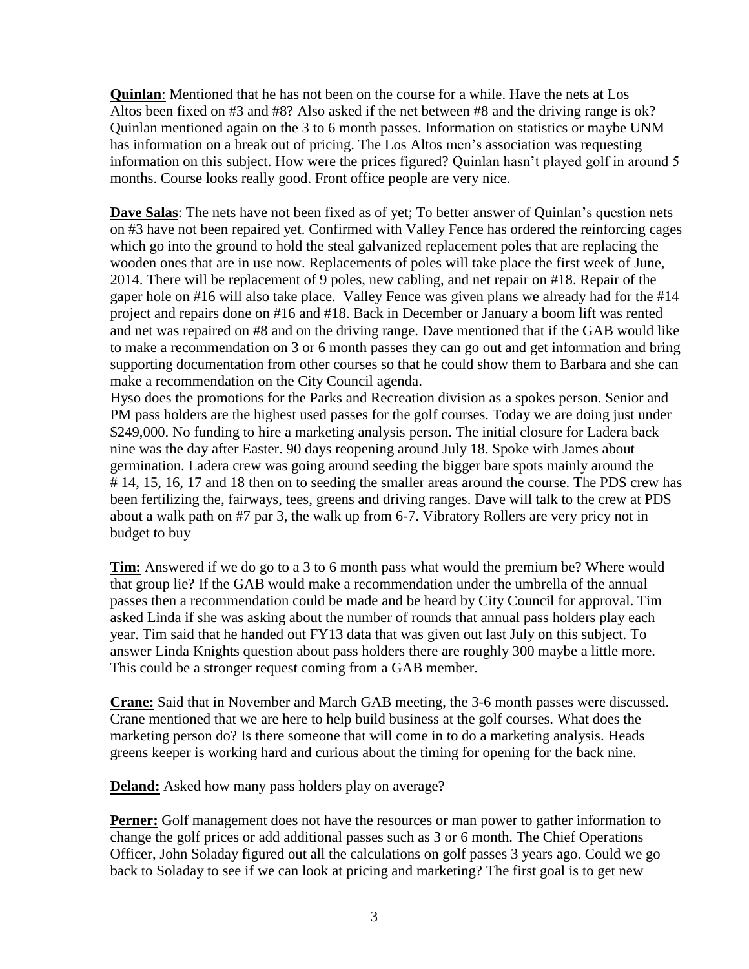**Quinlan**: Mentioned that he has not been on the course for a while. Have the nets at Los Altos been fixed on #3 and #8? Also asked if the net between #8 and the driving range is ok? Quinlan mentioned again on the 3 to 6 month passes. Information on statistics or maybe UNM has information on a break out of pricing. The Los Altos men's association was requesting information on this subject. How were the prices figured? Quinlan hasn't played golf in around 5 months. Course looks really good. Front office people are very nice.

**Dave Salas**: The nets have not been fixed as of yet; To better answer of Quinlan's question nets on #3 have not been repaired yet. Confirmed with Valley Fence has ordered the reinforcing cages which go into the ground to hold the steal galvanized replacement poles that are replacing the wooden ones that are in use now. Replacements of poles will take place the first week of June, 2014. There will be replacement of 9 poles, new cabling, and net repair on #18. Repair of the gaper hole on #16 will also take place. Valley Fence was given plans we already had for the #14 project and repairs done on #16 and #18. Back in December or January a boom lift was rented and net was repaired on #8 and on the driving range. Dave mentioned that if the GAB would like to make a recommendation on 3 or 6 month passes they can go out and get information and bring supporting documentation from other courses so that he could show them to Barbara and she can make a recommendation on the City Council agenda.

Hyso does the promotions for the Parks and Recreation division as a spokes person. Senior and PM pass holders are the highest used passes for the golf courses. Today we are doing just under \$249,000. No funding to hire a marketing analysis person. The initial closure for Ladera back nine was the day after Easter. 90 days reopening around July 18. Spoke with James about germination. Ladera crew was going around seeding the bigger bare spots mainly around the # 14, 15, 16, 17 and 18 then on to seeding the smaller areas around the course. The PDS crew has been fertilizing the, fairways, tees, greens and driving ranges. Dave will talk to the crew at PDS about a walk path on #7 par 3, the walk up from 6-7. Vibratory Rollers are very pricy not in budget to buy

**Tim:** Answered if we do go to a 3 to 6 month pass what would the premium be? Where would that group lie? If the GAB would make a recommendation under the umbrella of the annual passes then a recommendation could be made and be heard by City Council for approval. Tim asked Linda if she was asking about the number of rounds that annual pass holders play each year. Tim said that he handed out FY13 data that was given out last July on this subject. To answer Linda Knights question about pass holders there are roughly 300 maybe a little more. This could be a stronger request coming from a GAB member.

**Crane:** Said that in November and March GAB meeting, the 3-6 month passes were discussed. Crane mentioned that we are here to help build business at the golf courses. What does the marketing person do? Is there someone that will come in to do a marketing analysis. Heads greens keeper is working hard and curious about the timing for opening for the back nine.

**Deland:** Asked how many pass holders play on average?

**Perner:** Golf management does not have the resources or man power to gather information to change the golf prices or add additional passes such as 3 or 6 month. The Chief Operations Officer, John Soladay figured out all the calculations on golf passes 3 years ago. Could we go back to Soladay to see if we can look at pricing and marketing? The first goal is to get new